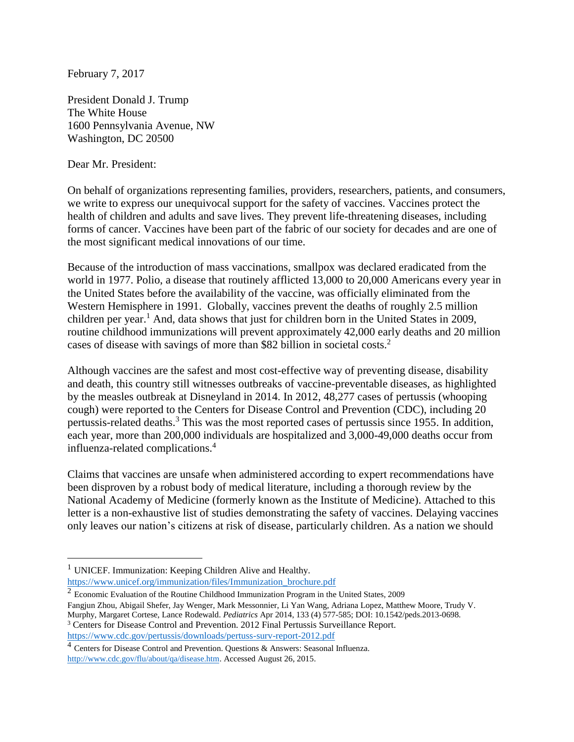February 7, 2017

President Donald J. Trump The White House 1600 Pennsylvania Avenue, NW Washington, DC 20500

Dear Mr. President:

 $\overline{a}$ 

On behalf of organizations representing families, providers, researchers, patients, and consumers, we write to express our unequivocal support for the safety of vaccines. Vaccines protect the health of children and adults and save lives. They prevent life-threatening diseases, including forms of cancer. Vaccines have been part of the fabric of our society for decades and are one of the most significant medical innovations of our time.

Because of the introduction of mass vaccinations, smallpox was declared eradicated from the world in 1977. Polio, a disease that routinely afflicted 13,000 to 20,000 Americans every year in the United States before the availability of the vaccine, was officially eliminated from the Western Hemisphere in 1991. Globally, vaccines prevent the deaths of roughly 2.5 million children per year.<sup>1</sup> And, data shows that just for children born in the United States in 2009, routine childhood immunizations will prevent approximately 42,000 early deaths and 20 million cases of disease with savings of more than \$82 billion in societal costs.<sup>2</sup>

Although vaccines are the safest and most cost-effective way of preventing disease, disability and death, this country still witnesses outbreaks of vaccine-preventable diseases, as highlighted by the measles outbreak at Disneyland in 2014. In 2012, 48,277 cases of pertussis (whooping cough) were reported to the Centers for Disease Control and Prevention (CDC), including 20 pertussis-related deaths.<sup>3</sup> This was the most reported cases of pertussis since 1955. In addition, each year, more than 200,000 individuals are hospitalized and 3,000-49,000 deaths occur from influenza-related complications.<sup>4</sup>

Claims that vaccines are unsafe when administered according to expert recommendations have been disproven by a robust body of medical literature, including a thorough review by the National Academy of Medicine (formerly known as the Institute of Medicine). Attached to this letter is a non-exhaustive list of studies demonstrating the safety of vaccines. Delaying vaccines only leaves our nation's citizens at risk of disease, particularly children. As a nation we should

<sup>&</sup>lt;sup>1</sup> UNICEF. Immunization: Keeping Children Alive and Healthy. [https://www.unicef.org/immunization/files/Immunization\\_brochure.pdf](https://www.unicef.org/immunization/files/Immunization_brochure.pdf)

 $2$  Economic Evaluation of the Routine Childhood Immunization Program in the United States, 2009 Fangjun Zhou, Abigail Shefer, Jay Wenger, Mark Messonnier, Li Yan Wang, Adriana Lopez, Matthew Moore, Trudy V. Murphy, Margaret Cortese, Lance Rodewald. *Pediatrics* Apr 2014, 133 (4) 577-585; DOI: 10.1542/peds.2013-0698.

<sup>3</sup> Centers for Disease Control and Prevention. 2012 Final Pertussis Surveillance Report. <https://www.cdc.gov/pertussis/downloads/pertuss-surv-report-2012.pdf>

<sup>4</sup> Centers for Disease Control and Prevention. Questions & Answers: Seasonal Influenza. [http://www.cdc.gov/flu/about/qa/disease.htm.](http://www.cdc.gov/flu/about/qa/disease.htm) Accessed August 26, 2015.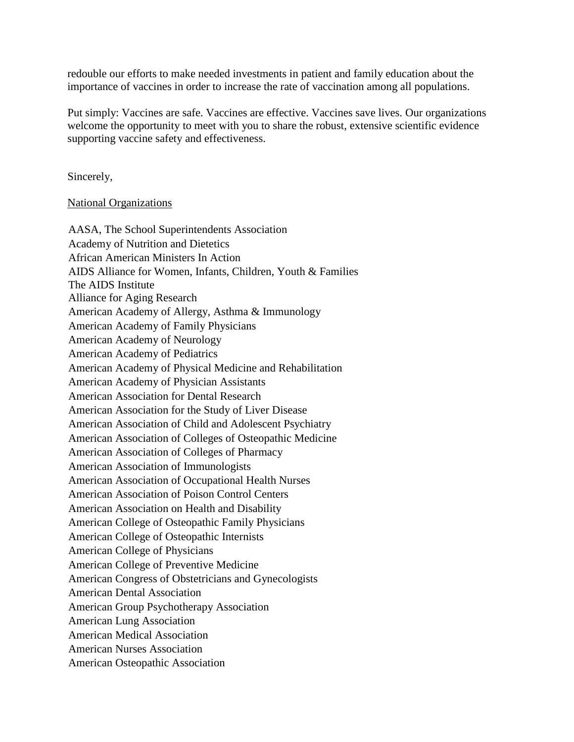redouble our efforts to make needed investments in patient and family education about the importance of vaccines in order to increase the rate of vaccination among all populations.

Put simply: Vaccines are safe. Vaccines are effective. Vaccines save lives. Our organizations welcome the opportunity to meet with you to share the robust, extensive scientific evidence supporting vaccine safety and effectiveness.

Sincerely,

National Organizations

| AASA, The School Superintendents Association                 |
|--------------------------------------------------------------|
| Academy of Nutrition and Dietetics                           |
| African American Ministers In Action                         |
| AIDS Alliance for Women, Infants, Children, Youth & Families |
| The AIDS Institute                                           |
| Alliance for Aging Research                                  |
| American Academy of Allergy, Asthma & Immunology             |
| American Academy of Family Physicians                        |
| American Academy of Neurology                                |
| American Academy of Pediatrics                               |
| American Academy of Physical Medicine and Rehabilitation     |
| American Academy of Physician Assistants                     |
| <b>American Association for Dental Research</b>              |
| American Association for the Study of Liver Disease          |
| American Association of Child and Adolescent Psychiatry      |
| American Association of Colleges of Osteopathic Medicine     |
| American Association of Colleges of Pharmacy                 |
| <b>American Association of Immunologists</b>                 |
| American Association of Occupational Health Nurses           |
| American Association of Poison Control Centers               |
| American Association on Health and Disability                |
| American College of Osteopathic Family Physicians            |
| American College of Osteopathic Internists                   |
| American College of Physicians                               |
| American College of Preventive Medicine                      |
| American Congress of Obstetricians and Gynecologists         |
| <b>American Dental Association</b>                           |
| <b>American Group Psychotherapy Association</b>              |
| <b>American Lung Association</b>                             |
| <b>American Medical Association</b>                          |
| <b>American Nurses Association</b>                           |
| American Osteopathic Association                             |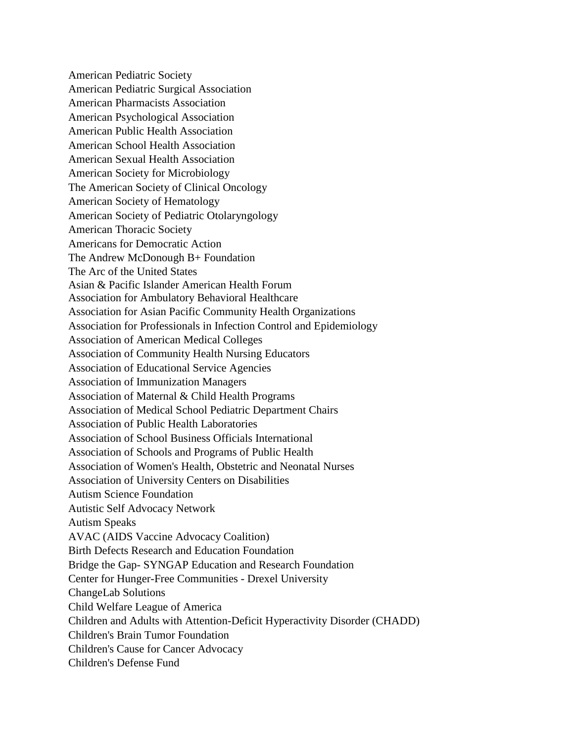American Pediatric Society American Pediatric Surgical Association American Pharmacists Association American Psychological Association American Public Health Association American School Health Association American Sexual Health Association American Society for Microbiology The American Society of Clinical Oncology American Society of Hematology American Society of Pediatric Otolaryngology American Thoracic Society Americans for Democratic Action The Andrew McDonough B+ Foundation The Arc of the United States Asian & Pacific Islander American Health Forum Association for Ambulatory Behavioral Healthcare Association for Asian Pacific Community Health Organizations Association for Professionals in Infection Control and Epidemiology Association of American Medical Colleges Association of Community Health Nursing Educators Association of Educational Service Agencies Association of Immunization Managers Association of Maternal & Child Health Programs Association of Medical School Pediatric Department Chairs Association of Public Health Laboratories Association of School Business Officials International Association of Schools and Programs of Public Health Association of Women's Health, Obstetric and Neonatal Nurses Association of University Centers on Disabilities Autism Science Foundation Autistic Self Advocacy Network Autism Speaks AVAC (AIDS Vaccine Advocacy Coalition) Birth Defects Research and Education Foundation Bridge the Gap- SYNGAP Education and Research Foundation Center for Hunger-Free Communities - Drexel University ChangeLab Solutions Child Welfare League of America Children and Adults with Attention-Deficit Hyperactivity Disorder (CHADD) Children's Brain Tumor Foundation Children's Cause for Cancer Advocacy Children's Defense Fund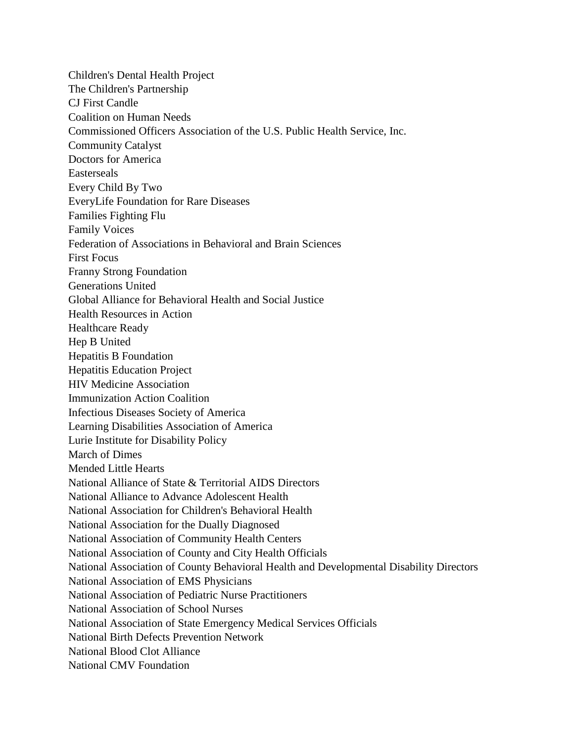Children's Dental Health Project The Children's Partnership CJ First Candle Coalition on Human Needs Commissioned Officers Association of the U.S. Public Health Service, Inc. Community Catalyst Doctors for America Easterseals Every Child By Two EveryLife Foundation for Rare Diseases Families Fighting Flu Family Voices Federation of Associations in Behavioral and Brain Sciences First Focus Franny Strong Foundation Generations United Global Alliance for Behavioral Health and Social Justice Health Resources in Action Healthcare Ready Hep B United Hepatitis B Foundation Hepatitis Education Project HIV Medicine Association Immunization Action Coalition Infectious Diseases Society of America Learning Disabilities Association of America Lurie Institute for Disability Policy March of Dimes Mended Little Hearts National Alliance of State & Territorial AIDS Directors National Alliance to Advance Adolescent Health National Association for Children's Behavioral Health National Association for the Dually Diagnosed National Association of Community Health Centers National Association of County and City Health Officials National Association of County Behavioral Health and Developmental Disability Directors National Association of EMS Physicians National Association of Pediatric Nurse Practitioners National Association of School Nurses National Association of State Emergency Medical Services Officials National Birth Defects Prevention Network National Blood Clot Alliance National CMV Foundation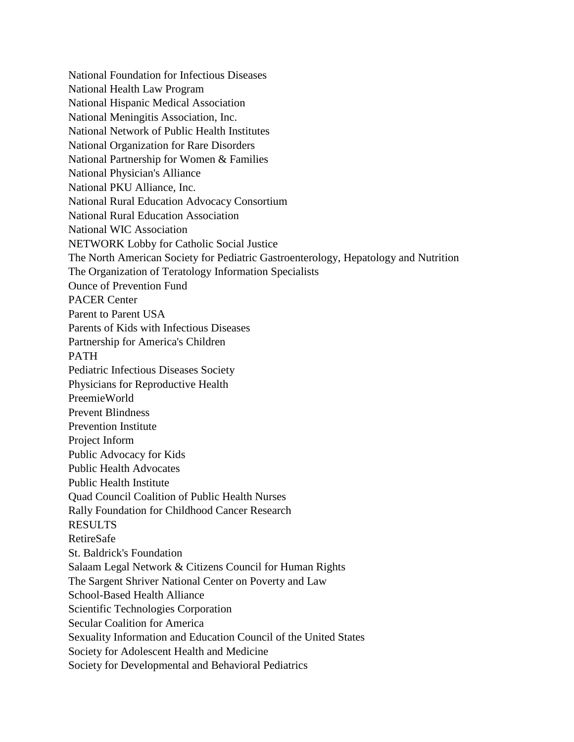National Foundation for Infectious Diseases National Health Law Program National Hispanic Medical Association National Meningitis Association, Inc. National Network of Public Health Institutes National Organization for Rare Disorders National Partnership for Women & Families National Physician's Alliance National PKU Alliance, Inc. National Rural Education Advocacy Consortium National Rural Education Association National WIC Association NETWORK Lobby for Catholic Social Justice The North American Society for Pediatric Gastroenterology, Hepatology and Nutrition The Organization of Teratology Information Specialists Ounce of Prevention Fund PACER Center Parent to Parent USA Parents of Kids with Infectious Diseases Partnership for America's Children PATH Pediatric Infectious Diseases Society Physicians for Reproductive Health PreemieWorld Prevent Blindness Prevention Institute Project Inform Public Advocacy for Kids Public Health Advocates Public Health Institute Quad Council Coalition of Public Health Nurses Rally Foundation for Childhood Cancer Research RESULTS RetireSafe St. Baldrick's Foundation Salaam Legal Network & Citizens Council for Human Rights The Sargent Shriver National Center on Poverty and Law School-Based Health Alliance Scientific Technologies Corporation Secular Coalition for America Sexuality Information and Education Council of the United States Society for Adolescent Health and Medicine Society for Developmental and Behavioral Pediatrics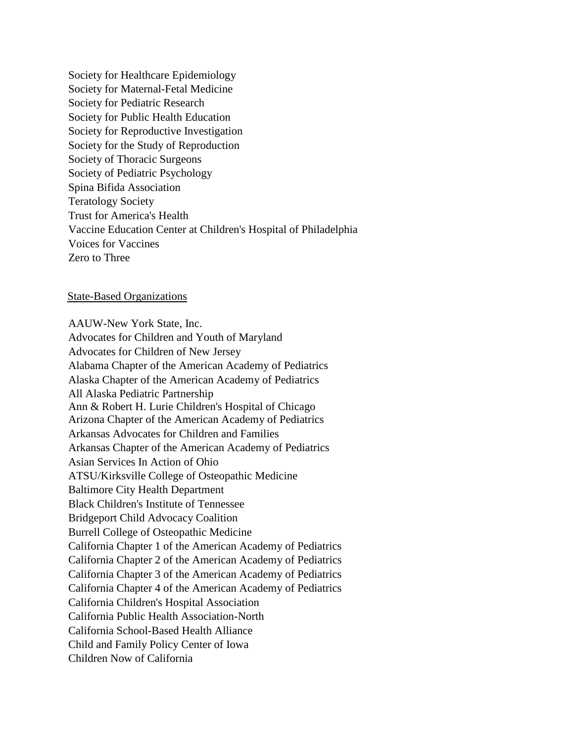Society for Healthcare Epidemiology Society for Maternal-Fetal Medicine Society for Pediatric Research Society for Public Health Education Society for Reproductive Investigation Society for the Study of Reproduction Society of Thoracic Surgeons Society of Pediatric Psychology Spina Bifida Association Teratology Society Trust for America's Health Vaccine Education Center at Children's Hospital of Philadelphia Voices for Vaccines Zero to Three

#### State-Based Organizations

AAUW-New York State, Inc. Advocates for Children and Youth of Maryland Advocates for Children of New Jersey Alabama Chapter of the American Academy of Pediatrics Alaska Chapter of the American Academy of Pediatrics All Alaska Pediatric Partnership Ann & Robert H. Lurie Children's Hospital of Chicago Arizona Chapter of the American Academy of Pediatrics Arkansas Advocates for Children and Families Arkansas Chapter of the American Academy of Pediatrics Asian Services In Action of Ohio ATSU/Kirksville College of Osteopathic Medicine Baltimore City Health Department Black Children's Institute of Tennessee Bridgeport Child Advocacy Coalition Burrell College of Osteopathic Medicine California Chapter 1 of the American Academy of Pediatrics California Chapter 2 of the American Academy of Pediatrics California Chapter 3 of the American Academy of Pediatrics California Chapter 4 of the American Academy of Pediatrics California Children's Hospital Association California Public Health Association-North California School-Based Health Alliance Child and Family Policy Center of Iowa Children Now of California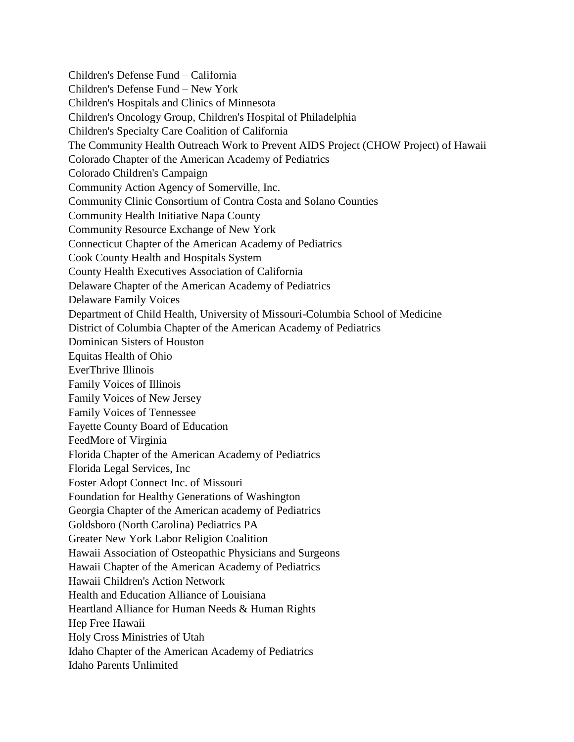Children's Defense Fund – California Children's Defense Fund – New York Children's Hospitals and Clinics of Minnesota Children's Oncology Group, Children's Hospital of Philadelphia Children's Specialty Care Coalition of California The Community Health Outreach Work to Prevent AIDS Project (CHOW Project) of Hawaii Colorado Chapter of the American Academy of Pediatrics Colorado Children's Campaign Community Action Agency of Somerville, Inc. Community Clinic Consortium of Contra Costa and Solano Counties Community Health Initiative Napa County Community Resource Exchange of New York Connecticut Chapter of the American Academy of Pediatrics Cook County Health and Hospitals System County Health Executives Association of California Delaware Chapter of the American Academy of Pediatrics Delaware Family Voices Department of Child Health, University of Missouri-Columbia School of Medicine District of Columbia Chapter of the American Academy of Pediatrics Dominican Sisters of Houston Equitas Health of Ohio EverThrive Illinois Family Voices of Illinois Family Voices of New Jersey Family Voices of Tennessee Fayette County Board of Education FeedMore of Virginia Florida Chapter of the American Academy of Pediatrics Florida Legal Services, Inc Foster Adopt Connect Inc. of Missouri Foundation for Healthy Generations of Washington Georgia Chapter of the American academy of Pediatrics Goldsboro (North Carolina) Pediatrics PA Greater New York Labor Religion Coalition Hawaii Association of Osteopathic Physicians and Surgeons Hawaii Chapter of the American Academy of Pediatrics Hawaii Children's Action Network Health and Education Alliance of Louisiana Heartland Alliance for Human Needs & Human Rights Hep Free Hawaii Holy Cross Ministries of Utah Idaho Chapter of the American Academy of Pediatrics Idaho Parents Unlimited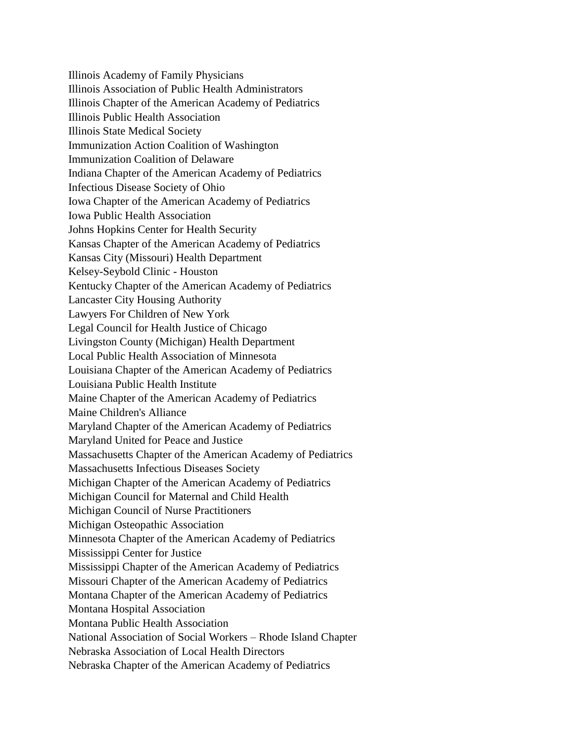Illinois Academy of Family Physicians Illinois Association of Public Health Administrators Illinois Chapter of the American Academy of Pediatrics Illinois Public Health Association Illinois State Medical Society Immunization Action Coalition of Washington Immunization Coalition of Delaware Indiana Chapter of the American Academy of Pediatrics Infectious Disease Society of Ohio Iowa Chapter of the American Academy of Pediatrics Iowa Public Health Association Johns Hopkins Center for Health Security Kansas Chapter of the American Academy of Pediatrics Kansas City (Missouri) Health Department Kelsey-Seybold Clinic - Houston Kentucky Chapter of the American Academy of Pediatrics Lancaster City Housing Authority Lawyers For Children of New York Legal Council for Health Justice of Chicago Livingston County (Michigan) Health Department Local Public Health Association of Minnesota Louisiana Chapter of the American Academy of Pediatrics Louisiana Public Health Institute Maine Chapter of the American Academy of Pediatrics Maine Children's Alliance Maryland Chapter of the American Academy of Pediatrics Maryland United for Peace and Justice Massachusetts Chapter of the American Academy of Pediatrics Massachusetts Infectious Diseases Society Michigan Chapter of the American Academy of Pediatrics Michigan Council for Maternal and Child Health Michigan Council of Nurse Practitioners Michigan Osteopathic Association Minnesota Chapter of the American Academy of Pediatrics Mississippi Center for Justice Mississippi Chapter of the American Academy of Pediatrics Missouri Chapter of the American Academy of Pediatrics Montana Chapter of the American Academy of Pediatrics Montana Hospital Association Montana Public Health Association National Association of Social Workers – Rhode Island Chapter Nebraska Association of Local Health Directors Nebraska Chapter of the American Academy of Pediatrics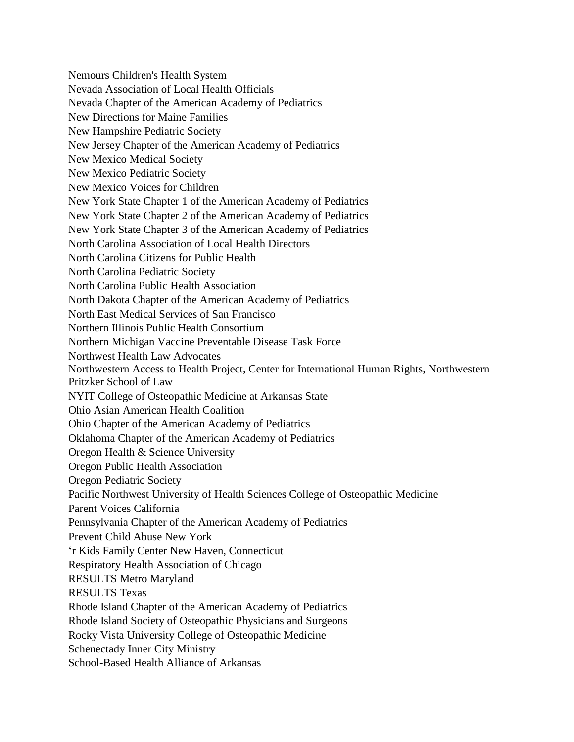Nemours Children's Health System Nevada Association of Local Health Officials Nevada Chapter of the American Academy of Pediatrics New Directions for Maine Families New Hampshire Pediatric Society New Jersey Chapter of the American Academy of Pediatrics New Mexico Medical Society New Mexico Pediatric Society New Mexico Voices for Children New York State Chapter 1 of the American Academy of Pediatrics New York State Chapter 2 of the American Academy of Pediatrics New York State Chapter 3 of the American Academy of Pediatrics North Carolina Association of Local Health Directors North Carolina Citizens for Public Health North Carolina Pediatric Society North Carolina Public Health Association North Dakota Chapter of the American Academy of Pediatrics North East Medical Services of San Francisco Northern Illinois Public Health Consortium Northern Michigan Vaccine Preventable Disease Task Force Northwest Health Law Advocates Northwestern Access to Health Project, Center for International Human Rights, Northwestern Pritzker School of Law NYIT College of Osteopathic Medicine at Arkansas State Ohio Asian American Health Coalition Ohio Chapter of the American Academy of Pediatrics Oklahoma Chapter of the American Academy of Pediatrics Oregon Health & Science University Oregon Public Health Association Oregon Pediatric Society Pacific Northwest University of Health Sciences College of Osteopathic Medicine Parent Voices California Pennsylvania Chapter of the American Academy of Pediatrics Prevent Child Abuse New York 'r Kids Family Center New Haven, Connecticut Respiratory Health Association of Chicago RESULTS Metro Maryland RESULTS Texas Rhode Island Chapter of the American Academy of Pediatrics Rhode Island Society of Osteopathic Physicians and Surgeons Rocky Vista University College of Osteopathic Medicine Schenectady Inner City Ministry School-Based Health Alliance of Arkansas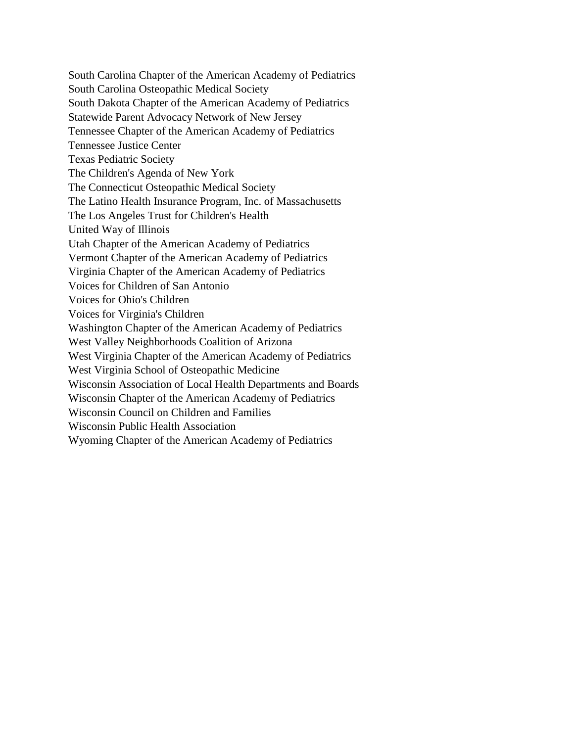South Carolina Chapter of the American Academy of Pediatrics South Carolina Osteopathic Medical Society South Dakota Chapter of the American Academy of Pediatrics Statewide Parent Advocacy Network of New Jersey Tennessee Chapter of the American Academy of Pediatrics Tennessee Justice Center Texas Pediatric Society The Children's Agenda of New York The Connecticut Osteopathic Medical Society The Latino Health Insurance Program, Inc. of Massachusetts The Los Angeles Trust for Children's Health United Way of Illinois Utah Chapter of the American Academy of Pediatrics Vermont Chapter of the American Academy of Pediatrics Virginia Chapter of the American Academy of Pediatrics Voices for Children of San Antonio Voices for Ohio's Children Voices for Virginia's Children Washington Chapter of the American Academy of Pediatrics West Valley Neighborhoods Coalition of Arizona West Virginia Chapter of the American Academy of Pediatrics West Virginia School of Osteopathic Medicine Wisconsin Association of Local Health Departments and Boards Wisconsin Chapter of the American Academy of Pediatrics Wisconsin Council on Children and Families Wisconsin Public Health Association Wyoming Chapter of the American Academy of Pediatrics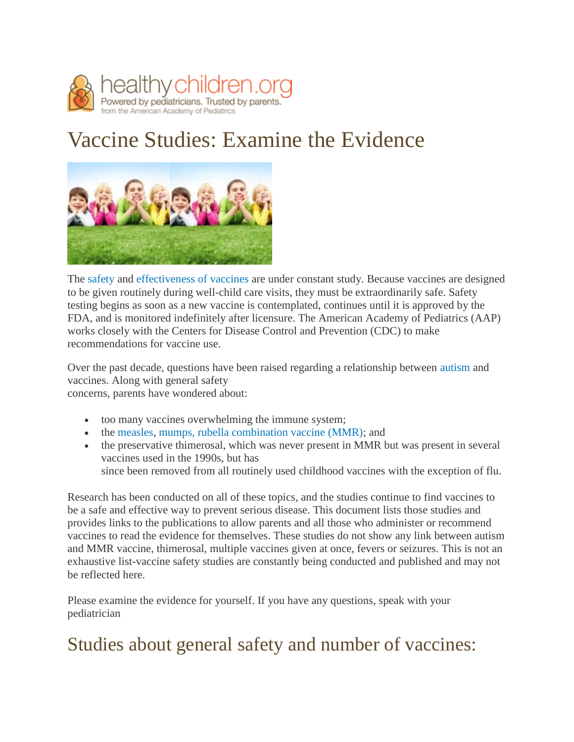

# Vaccine Studies: Examine the Evidence



The [safety](https://www.healthychildren.org/English/safety-prevention/immunizations/pages/Vaccine-Safety-The-Facts.aspx) and [effectiveness of vaccines](https://www.healthychildren.org/English/safety-prevention/immunizations/pages/Do-Immunizations-Really-Work.aspx) are under constant study. Because vaccines are designed to be given routinely during well-child care visits, they must be extraordinarily safe. Safety testing begins as soon as a new vaccine is contemplated, continues until it is approved by the FDA, and is monitored indefinitely after licensure. The American Academy of Pediatrics (AAP) works closely with the Centers for Disease Control and Prevention (CDC) to make recommendations for vaccine use.

Over the past decade, questions have been raised regarding a relationship between [autism a](https://www.healthychildren.org/English/health-issues/conditions/chronic/Pages/Autism.aspx)nd vaccines. Along with general safety

concerns, parents have wondered about:

- too many vaccines overwhelming the immune system;
- the [measles, mumps, rubella combination vaccine \(MMR\);](https://www.healthychildren.org/English/safety-prevention/immunizations/Pages/MMR-Vaccine-and-Autism-What-Parents-Need-to-Know.aspx) and
- the preservative thimerosal, which was never present in MMR but was present in several vaccines used in the 1990s, but has since been removed from all routinely used childhood vaccines with the exception of flu.

Research has been conducted on all of these topics, and the studies continue to find vaccines to be a safe and effective way to prevent serious disease. This document lists those studies and provides links to the publications to allow parents and all those who administer or recommend vaccines to read the evidence for themselves. These studies do not show any link between autism and MMR vaccine, thimerosal, multiple vaccines given at once, fevers or seizures. This is not an exhaustive list-vaccine safety studies are constantly being conducted and published and may not be reflected here.

Please examine the evidence for yourself. If you have any questions, speak with your pediatrician

## Studies about general safety and number of vaccines: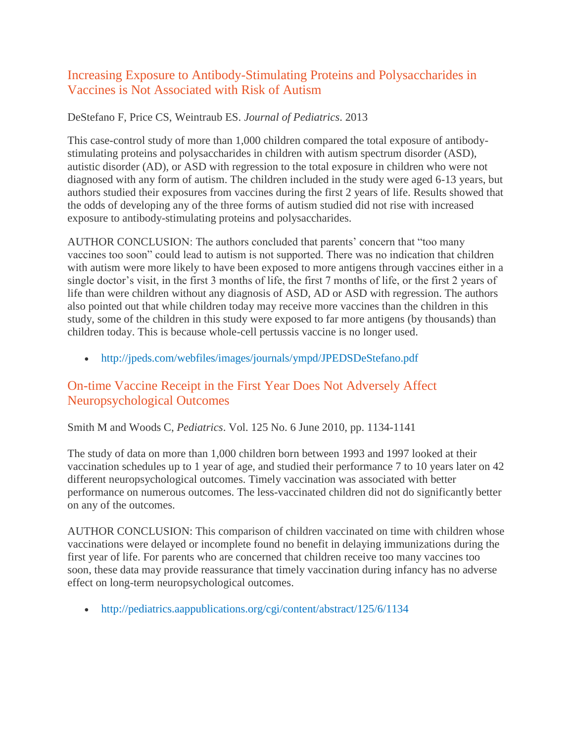#### Increasing Exposure to Antibody-Stimulating Proteins and Polysaccharides in Vaccines is Not Associated with Risk of Autism

#### DeStefano F, Price CS, Weintraub ES. *Journal of Pediatrics*. 2013

This case-control study of more than 1,000 children compared the total exposure of antibodystimulating proteins and polysaccharides in children with autism spectrum disorder (ASD), autistic disorder (AD), or ASD with regression to the total exposure in children who were not diagnosed with any form of autism. The children included in the study were aged 6-13 years, but authors studied their exposures from vaccines during the first 2 years of life. Results showed that the odds of developing any of the three forms of autism studied did not rise with increased exposure to antibody-stimulating proteins and polysaccharides.

AUTHOR CONCLUSION: The authors concluded that parents' concern that "too many vaccines too soon" could lead to autism is not supported. There was no indication that children with autism were more likely to have been exposed to more antigens through vaccines either in a single doctor's visit, in the first 3 months of life, the first 7 months of life, or the first 2 years of life than were children without any diagnosis of ASD, AD or ASD with regression. The authors also pointed out that while children today may receive more vaccines than the children in this study, some of the children in this study were exposed to far more antigens (by thousands) than children today. This is because whole-cell pertussis vaccine is no longer used.

<http://jpeds.com/webfiles/images/journals/ympd/JPEDSDeStefano.pdf>

#### On-time Vaccine Receipt in the First Year Does Not Adversely Affect Neuropsychological Outcomes

Smith M and Woods C, *Pediatrics*. Vol. 125 No. 6 June 2010, pp. 1134-1141

The study of data on more than 1,000 children born between 1993 and 1997 looked at their vaccination schedules up to 1 year of age, and studied their performance 7 to 10 years later on 42 different neuropsychological outcomes. Timely vaccination was associated with better performance on numerous outcomes. The less-vaccinated children did not do significantly better on any of the outcomes.

AUTHOR CONCLUSION: This comparison of children vaccinated on time with children whose vaccinations were delayed or incomplete found no benefit in delaying immunizations during the first year of life. For parents who are concerned that children receive too many vaccines too soon, these data may provide reassurance that timely vaccination during infancy has no adverse effect on long-term neuropsychological outcomes.

• <http://pediatrics.aappublications.org/cgi/content/abstract/125/6/1134>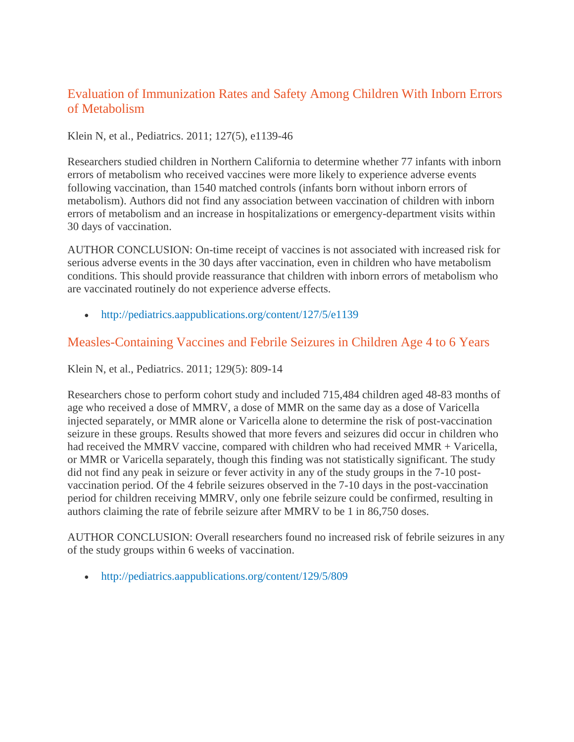#### Evaluation of Immunization Rates and Safety Among Children With Inborn Errors of Metabolism

#### Klein N, et al., Pediatrics. 2011; 127(5), e1139-46

Researchers studied children in Northern California to determine whether 77 infants with inborn errors of metabolism who received vaccines were more likely to experience adverse events following vaccination, than 1540 matched controls (infants born without inborn errors of metabolism). Authors did not find any association between vaccination of children with inborn errors of metabolism and an increase in hospitalizations or emergency-department visits within 30 days of vaccination.

AUTHOR CONCLUSION: On-time receipt of vaccines is not associated with increased risk for serious adverse events in the 30 days after vaccination, even in children who have metabolism conditions. This should provide reassurance that children with inborn errors of metabolism who are vaccinated routinely do not experience adverse effects.

• <http://pediatrics.aappublications.org/content/127/5/e1139>

#### Measles-Containing Vaccines and Febrile Seizures in Children Age 4 to 6 Years

Klein N, et al., Pediatrics. 2011; 129(5): 809-14

Researchers chose to perform cohort study and included 715,484 children aged 48-83 months of age who received a dose of MMRV, a dose of MMR on the same day as a dose of Varicella injected separately, or MMR alone or Varicella alone to determine the risk of post-vaccination seizure in these groups. Results showed that more fevers and seizures did occur in children who had received the MMRV vaccine, compared with children who had received MMR + Varicella, or MMR or Varicella separately, though this finding was not statistically significant. The study did not find any peak in seizure or fever activity in any of the study groups in the 7-10 postvaccination period. Of the 4 febrile seizures observed in the 7-10 days in the post-vaccination period for children receiving MMRV, only one febrile seizure could be confirmed, resulting in authors claiming the rate of febrile seizure after MMRV to be 1 in 86,750 doses.

AUTHOR CONCLUSION: Overall researchers found no increased risk of febrile seizures in any of the study groups within 6 weeks of vaccination.

• <http://pediatrics.aappublications.org/content/129/5/809>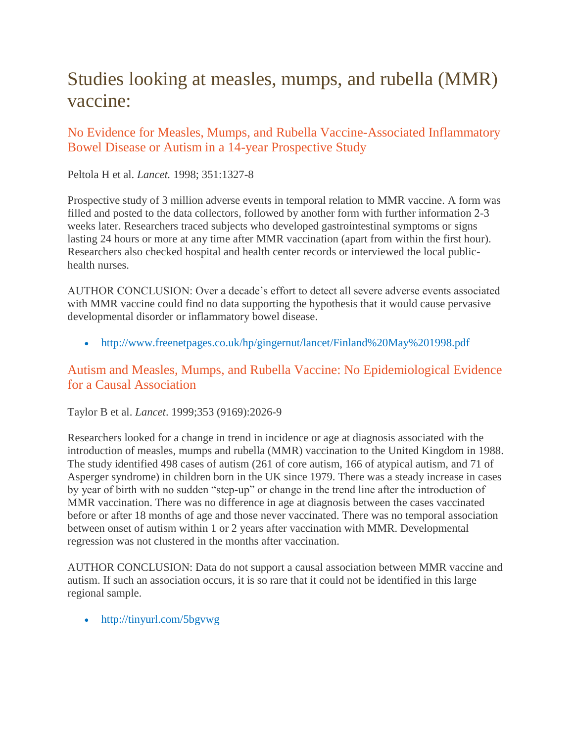## Studies looking at measles, mumps, and rubella (MMR) vaccine:

#### No Evidence for Measles, Mumps, and Rubella Vaccine-Associated Inflammatory Bowel Disease or Autism in a 14-year Prospective Study

Peltola H et al. *Lancet.* 1998; 351:1327-8

Prospective study of 3 million adverse events in temporal relation to MMR vaccine. A form was filled and posted to the data collectors, followed by another form with further information 2-3 weeks later. Researchers traced subjects who developed gastrointestinal symptoms or signs lasting 24 hours or more at any time after MMR vaccination (apart from within the first hour). Researchers also checked hospital and health center records or interviewed the local publichealth nurses.

AUTHOR CONCLUSION: Over a decade's effort to detect all severe adverse events associated with MMR vaccine could find no data supporting the hypothesis that it would cause pervasive developmental disorder or inflammatory bowel disease.

<http://www.freenetpages.co.uk/hp/gingernut/lancet/Finland%20May%201998.pdf>

#### Autism and Measles, Mumps, and Rubella Vaccine: No Epidemiological Evidence for a Causal Association

Taylor B et al. *Lancet*. 1999;353 (9169):2026-9

Researchers looked for a change in trend in incidence or age at diagnosis associated with the introduction of measles, mumps and rubella (MMR) vaccination to the United Kingdom in 1988. The study identified 498 cases of autism (261 of core autism, 166 of atypical autism, and 71 of Asperger syndrome) in children born in the UK since 1979. There was a steady increase in cases by year of birth with no sudden "step-up" or change in the trend line after the introduction of MMR vaccination. There was no difference in age at diagnosis between the cases vaccinated before or after 18 months of age and those never vaccinated. There was no temporal association between onset of autism within 1 or 2 years after vaccination with MMR. Developmental regression was not clustered in the months after vaccination.

AUTHOR CONCLUSION: Data do not support a causal association between MMR vaccine and autism. If such an association occurs, it is so rare that it could not be identified in this large regional sample.

• <http://tinyurl.com/5bgvwg>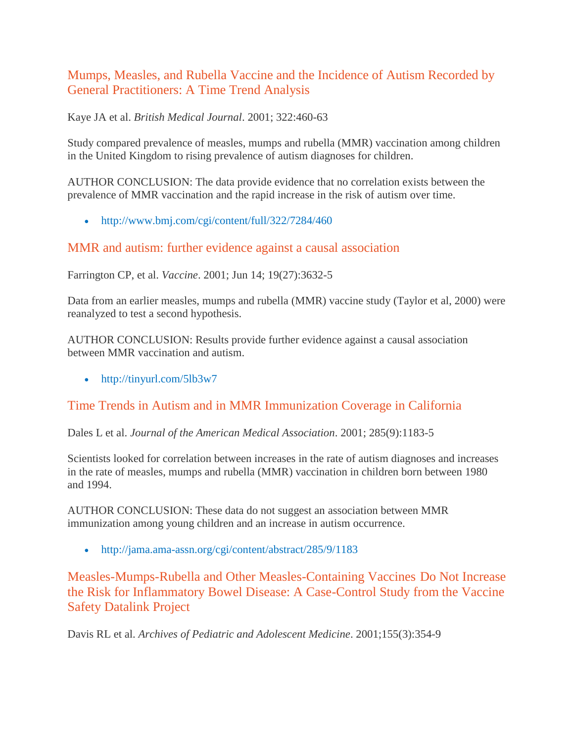#### Mumps, Measles, and Rubella Vaccine and the Incidence of Autism Recorded by General Practitioners: A Time Trend Analysis

Kaye JA et al. *British Medical Journal*. 2001; 322:460-63

Study compared prevalence of measles, mumps and rubella (MMR) vaccination among children in the United Kingdom to rising prevalence of autism diagnoses for children.

AUTHOR CONCLUSION: The data provide evidence that no correlation exists between the prevalence of MMR vaccination and the rapid increase in the risk of autism over time.

• <http://www.bmj.com/cgi/content/full/322/7284/460>

#### MMR and autism: further evidence against a causal association

Farrington CP, et al. *Vaccine*. 2001; Jun 14; 19(27):3632-5

Data from an earlier measles, mumps and rubella (MMR) vaccine study (Taylor et al, 2000) were reanalyzed to test a second hypothesis.

AUTHOR CONCLUSION: Results provide further evidence against a causal association between MMR vaccination and autism.

• <http://tinyurl.com/5lb3w7>

## Time Trends in Autism and in MMR Immunization Coverage in California

Dales L et al. *Journal of the American Medical Association*. 2001; 285(9):1183-5

Scientists looked for correlation between increases in the rate of autism diagnoses and increases in the rate of measles, mumps and rubella (MMR) vaccination in children born between 1980 and 1994.

AUTHOR CONCLUSION: These data do not suggest an association between MMR immunization among young children and an increase in autism occurrence.

<http://jama.ama-assn.org/cgi/content/abstract/285/9/1183>

Measles-Mumps-Rubella and Other Measles-Containing Vaccines Do Not Increase the Risk for Inflammatory Bowel Disease: A Case-Control Study from the Vaccine Safety Datalink Project

Davis RL et al. *Archives of Pediatric and Adolescent Medicine*. 2001;155(3):354-9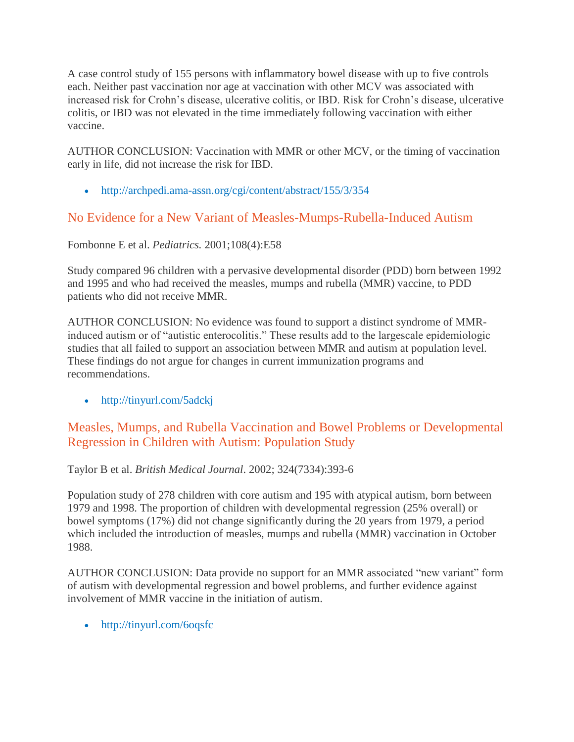A case control study of 155 persons with inflammatory bowel disease with up to five controls each. Neither past vaccination nor age at vaccination with other MCV was associated with increased risk for Crohn's disease, ulcerative colitis, or IBD. Risk for Crohn's disease, ulcerative colitis, or IBD was not elevated in the time immediately following vaccination with either vaccine.

AUTHOR CONCLUSION: Vaccination with MMR or other MCV, or the timing of vaccination early in life, did not increase the risk for IBD.

<http://archpedi.ama-assn.org/cgi/content/abstract/155/3/354>

## No Evidence for a New Variant of Measles-Mumps-Rubella-Induced Autism

Fombonne E et al. *Pediatrics.* 2001;108(4):E58

Study compared 96 children with a pervasive developmental disorder (PDD) born between 1992 and 1995 and who had received the measles, mumps and rubella (MMR) vaccine, to PDD patients who did not receive MMR.

AUTHOR CONCLUSION: No evidence was found to support a distinct syndrome of MMRinduced autism or of "autistic enterocolitis." These results add to the largescale epidemiologic studies that all failed to support an association between MMR and autism at population level. These findings do not argue for changes in current immunization programs and recommendations.

<http://tinyurl.com/5adckj>

#### Measles, Mumps, and Rubella Vaccination and Bowel Problems or Developmental Regression in Children with Autism: Population Study

Taylor B et al. *British Medical Journal*. 2002; 324(7334):393-6

Population study of 278 children with core autism and 195 with atypical autism, born between 1979 and 1998. The proportion of children with developmental regression (25% overall) or bowel symptoms (17%) did not change significantly during the 20 years from 1979, a period which included the introduction of measles, mumps and rubella (MMR) vaccination in October 1988.

AUTHOR CONCLUSION: Data provide no support for an MMR associated "new variant" form of autism with developmental regression and bowel problems, and further evidence against involvement of MMR vaccine in the initiation of autism.

• <http://tinyurl.com/6oqsfc>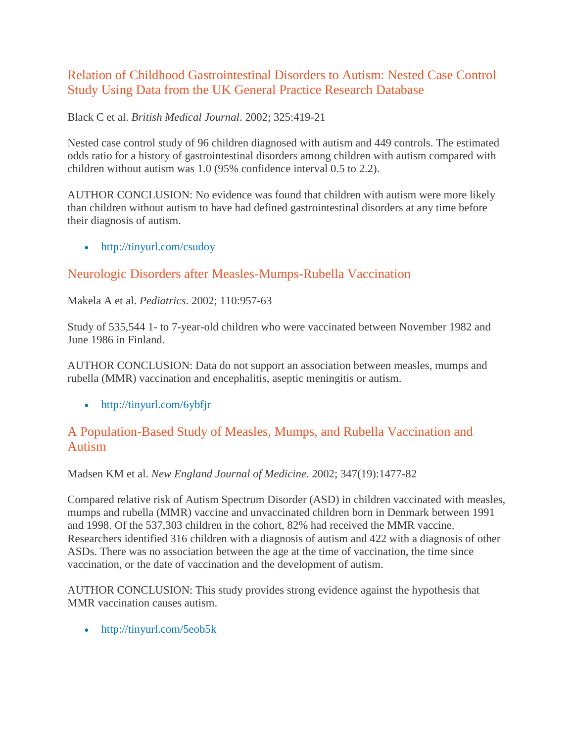#### Relation of Childhood Gastrointestinal Disorders to Autism: Nested Case Control Study Using Data from the UK General Practice Research Database

#### Black C et al. *British Medical Journal*. 2002; 325:419-21

Nested case control study of 96 children diagnosed with autism and 449 controls. The estimated odds ratio for a history of gastrointestinal disorders among children with autism compared with children without autism was 1.0 (95% confidence interval 0.5 to 2.2).

AUTHOR CONCLUSION: No evidence was found that children with autism were more likely than children without autism to have had defined gastrointestinal disorders at any time before their diagnosis of autism.

• <http://tinyurl.com/csudoy>

#### Neurologic Disorders after Measles-Mumps-Rubella Vaccination

#### Makela A et al. *Pediatrics*. 2002; 110:957-63

Study of 535,544 1- to 7-year-old children who were vaccinated between November 1982 and June 1986 in Finland.

AUTHOR CONCLUSION: Data do not support an association between measles, mumps and rubella (MMR) vaccination and encephalitis, aseptic meningitis or autism.

• <http://tinyurl.com/6ybfjr>

#### A Population-Based Study of Measles, Mumps, and Rubella Vaccination and Autism

#### Madsen KM et al. *New England Journal of Medicine*. 2002; 347(19):1477-82

Compared relative risk of Autism Spectrum Disorder (ASD) in children vaccinated with measles, mumps and rubella (MMR) vaccine and unvaccinated children born in Denmark between 1991 and 1998. Of the 537,303 children in the cohort, 82% had received the MMR vaccine. Researchers identified 316 children with a diagnosis of autism and 422 with a diagnosis of other ASDs. There was no association between the age at the time of vaccination, the time since vaccination, or the date of vaccination and the development of autism.

AUTHOR CONCLUSION: This study provides strong evidence against the hypothesis that MMR vaccination causes autism.

• <http://tinyurl.com/5eob5k>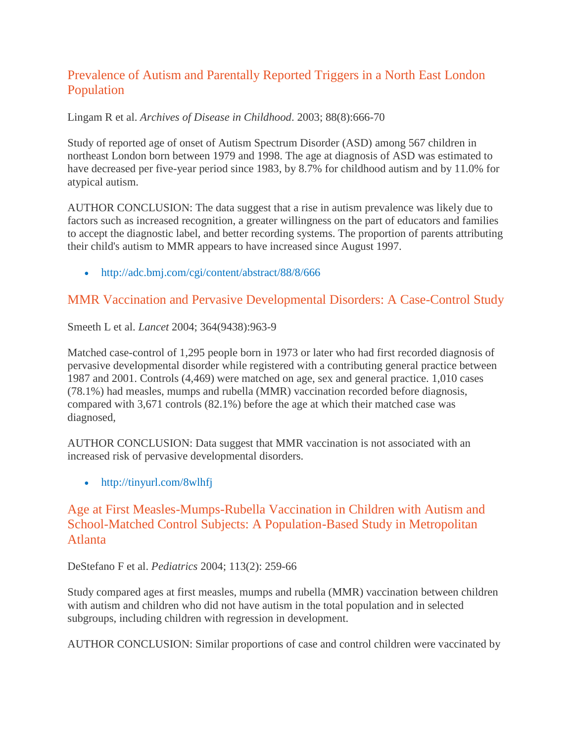#### Prevalence of Autism and Parentally Reported Triggers in a North East London Population

Lingam R et al. *Archives of Disease in Childhood*. 2003; 88(8):666-70

Study of reported age of onset of Autism Spectrum Disorder (ASD) among 567 children in northeast London born between 1979 and 1998. The age at diagnosis of ASD was estimated to have decreased per five-year period since 1983, by 8.7% for childhood autism and by 11.0% for atypical autism.

AUTHOR CONCLUSION: The data suggest that a rise in autism prevalence was likely due to factors such as increased recognition, a greater willingness on the part of educators and families to accept the diagnostic label, and better recording systems. The proportion of parents attributing their child's autism to MMR appears to have increased since August 1997.

• <http://adc.bmj.com/cgi/content/abstract/88/8/666>

#### MMR Vaccination and Pervasive Developmental Disorders: A Case-Control Study

Smeeth L et al. *Lancet* 2004; 364(9438):963-9

Matched case-control of 1,295 people born in 1973 or later who had first recorded diagnosis of pervasive developmental disorder while registered with a contributing general practice between 1987 and 2001. Controls (4,469) were matched on age, sex and general practice. 1,010 cases (78.1%) had measles, mumps and rubella (MMR) vaccination recorded before diagnosis, compared with 3,671 controls (82.1%) before the age at which their matched case was diagnosed,

AUTHOR CONCLUSION: Data suggest that MMR vaccination is not associated with an increased risk of pervasive developmental disorders.

• <http://tinyurl.com/8wlhfj>

#### Age at First Measles-Mumps-Rubella Vaccination in Children with Autism and School-Matched Control Subjects: A Population-Based Study in Metropolitan Atlanta

DeStefano F et al. *Pediatrics* 2004; 113(2): 259-66

Study compared ages at first measles, mumps and rubella (MMR) vaccination between children with autism and children who did not have autism in the total population and in selected subgroups, including children with regression in development.

AUTHOR CONCLUSION: Similar proportions of case and control children were vaccinated by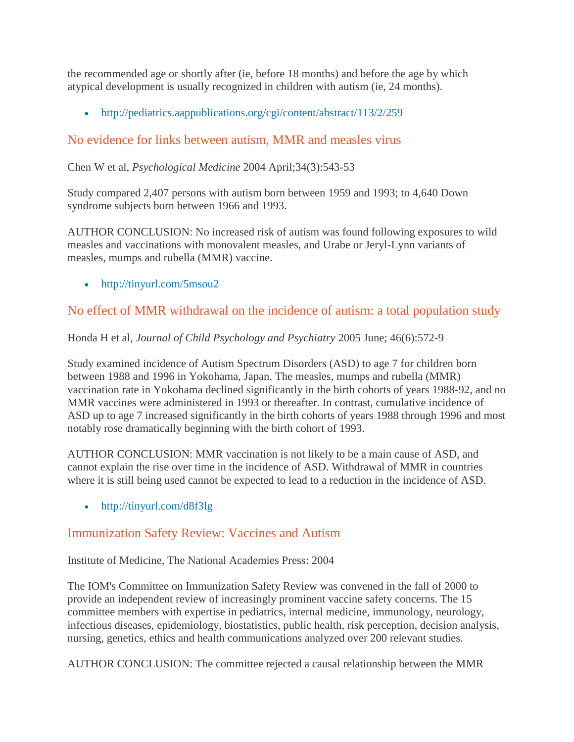the recommended age or shortly after (ie, before 18 months) and before the age by which atypical development is usually recognized in children with autism (ie, 24 months).

<http://pediatrics.aappublications.org/cgi/content/abstract/113/2/259>

## No evidence for links between autism, MMR and measles virus

Chen W et al, *Psychological Medicine* 2004 April;34(3):543-53

Study compared 2,407 persons with autism born between 1959 and 1993; to 4,640 Down syndrome subjects born between 1966 and 1993.

AUTHOR CONCLUSION: No increased risk of autism was found following exposures to wild measles and vaccinations with monovalent measles, and Urabe or Jeryl-Lynn variants of measles, mumps and rubella (MMR) vaccine.

• <http://tinyurl.com/5msou2>

## No effect of MMR withdrawal on the incidence of autism: a total population study

Honda H et al, *Journal of Child Psychology and Psychiatry* 2005 June; 46(6):572-9

Study examined incidence of Autism Spectrum Disorders (ASD) to age 7 for children born between 1988 and 1996 in Yokohama, Japan. The measles, mumps and rubella (MMR) vaccination rate in Yokohama declined significantly in the birth cohorts of years 1988-92, and no MMR vaccines were administered in 1993 or thereafter. In contrast, cumulative incidence of ASD up to age 7 increased significantly in the birth cohorts of years 1988 through 1996 and most notably rose dramatically beginning with the birth cohort of 1993.

AUTHOR CONCLUSION: MMR vaccination is not likely to be a main cause of ASD, and cannot explain the rise over time in the incidence of ASD. Withdrawal of MMR in countries where it is still being used cannot be expected to lead to a reduction in the incidence of ASD.

• <http://tinyurl.com/d8f3lg>

## Immunization Safety Review: Vaccines and Autism

Institute of Medicine, The National Academies Press: 2004

The IOM's Committee on Immunization Safety Review was convened in the fall of 2000 to provide an independent review of increasingly prominent vaccine safety concerns. The 15 committee members with expertise in pediatrics, internal medicine, immunology, neurology, infectious diseases, epidemiology, biostatistics, public health, risk perception, decision analysis, nursing, genetics, ethics and health communications analyzed over 200 relevant studies.

AUTHOR CONCLUSION: The committee rejected a causal relationship between the MMR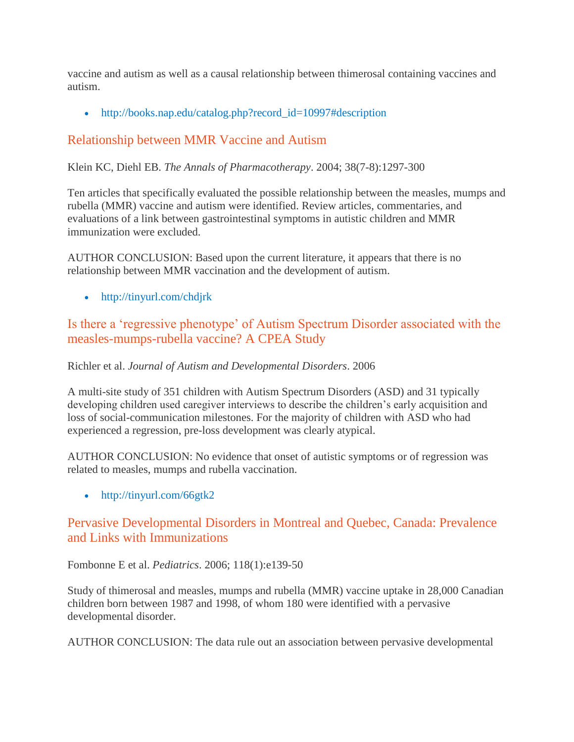vaccine and autism as well as a causal relationship between thimerosal containing vaccines and autism.

[http://books.nap.edu/catalog.php?record\\_id=10997#description](http://books.nap.edu/catalog.php?record_id=10997#description)

## Relationship between MMR Vaccine and Autism

Klein KC, Diehl EB. *The Annals of Pharmacotherapy*. 2004; 38(7-8):1297-300

Ten articles that specifically evaluated the possible relationship between the measles, mumps and rubella (MMR) vaccine and autism were identified. Review articles, commentaries, and evaluations of a link between gastrointestinal symptoms in autistic children and MMR immunization were excluded.

AUTHOR CONCLUSION: Based upon the current literature, it appears that there is no relationship between MMR vaccination and the development of autism.

• <http://tinyurl.com/chdjrk>

## Is there a 'regressive phenotype' of Autism Spectrum Disorder associated with the measles-mumps-rubella vaccine? A CPEA Study

Richler et al. *Journal of Autism and Developmental Disorders*. 2006

A multi-site study of 351 children with Autism Spectrum Disorders (ASD) and 31 typically developing children used caregiver interviews to describe the children's early acquisition and loss of social-communication milestones. For the majority of children with ASD who had experienced a regression, pre-loss development was clearly atypical.

AUTHOR CONCLUSION: No evidence that onset of autistic symptoms or of regression was related to measles, mumps and rubella vaccination.

• <http://tinyurl.com/66gtk2>

#### Pervasive Developmental Disorders in Montreal and Quebec, Canada: Prevalence and Links with Immunizations

Fombonne E et al. *Pediatrics*. 2006; 118(1):e139-50

Study of thimerosal and measles, mumps and rubella (MMR) vaccine uptake in 28,000 Canadian children born between 1987 and 1998, of whom 180 were identified with a pervasive developmental disorder.

AUTHOR CONCLUSION: The data rule out an association between pervasive developmental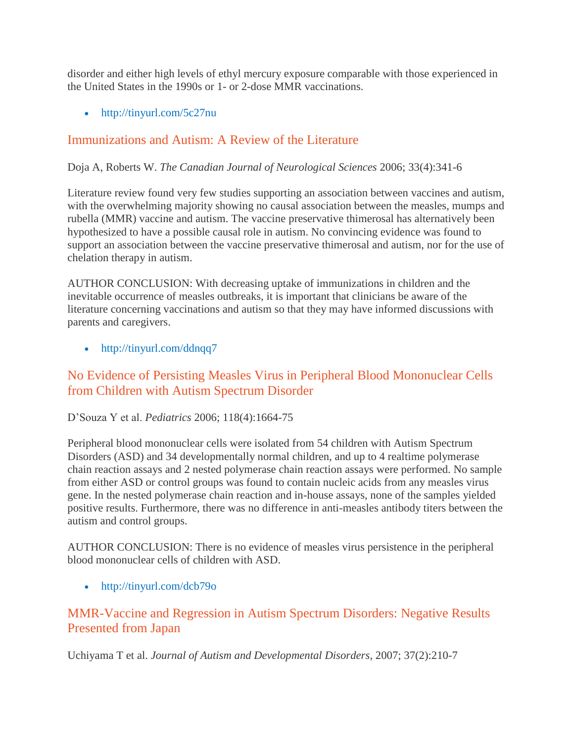disorder and either high levels of ethyl mercury exposure comparable with those experienced in the United States in the 1990s or 1- or 2-dose MMR vaccinations.

• <http://tinyurl.com/5c27nu>

#### Immunizations and Autism: A Review of the Literature

Doja A, Roberts W. *The Canadian Journal of Neurological Sciences* 2006; 33(4):341-6

Literature review found very few studies supporting an association between vaccines and autism, with the overwhelming majority showing no causal association between the measles, mumps and rubella (MMR) vaccine and autism. The vaccine preservative thimerosal has alternatively been hypothesized to have a possible causal role in autism. No convincing evidence was found to support an association between the vaccine preservative thimerosal and autism, nor for the use of chelation therapy in autism.

AUTHOR CONCLUSION: With decreasing uptake of immunizations in children and the inevitable occurrence of measles outbreaks, it is important that clinicians be aware of the literature concerning vaccinations and autism so that they may have informed discussions with parents and caregivers.

#### • <http://tinyurl.com/ddnqq7>

#### No Evidence of Persisting Measles Virus in Peripheral Blood Mononuclear Cells from Children with Autism Spectrum Disorder

#### D'Souza Y et al. *Pediatrics* 2006; 118(4):1664-75

Peripheral blood mononuclear cells were isolated from 54 children with Autism Spectrum Disorders (ASD) and 34 developmentally normal children, and up to 4 realtime polymerase chain reaction assays and 2 nested polymerase chain reaction assays were performed. No sample from either ASD or control groups was found to contain nucleic acids from any measles virus gene. In the nested polymerase chain reaction and in-house assays, none of the samples yielded positive results. Furthermore, there was no difference in anti-measles antibody titers between the autism and control groups.

AUTHOR CONCLUSION: There is no evidence of measles virus persistence in the peripheral blood mononuclear cells of children with ASD.

• <http://tinyurl.com/dcb79o>

#### MMR-Vaccine and Regression in Autism Spectrum Disorders: Negative Results Presented from Japan

Uchiyama T et al. *Journal of Autism and Developmental Disorders*, 2007; 37(2):210-7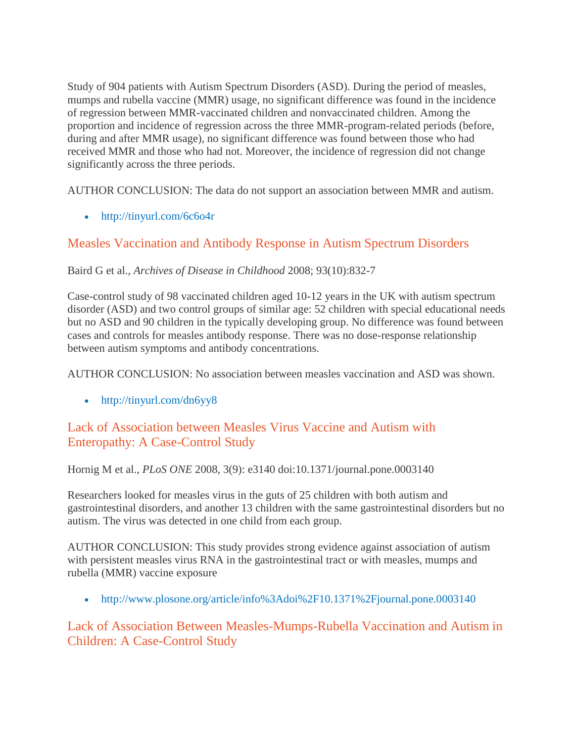Study of 904 patients with Autism Spectrum Disorders (ASD). During the period of measles, mumps and rubella vaccine (MMR) usage, no significant difference was found in the incidence of regression between MMR-vaccinated children and nonvaccinated children. Among the proportion and incidence of regression across the three MMR-program-related periods (before, during and after MMR usage), no significant difference was found between those who had received MMR and those who had not. Moreover, the incidence of regression did not change significantly across the three periods.

AUTHOR CONCLUSION: The data do not support an association between MMR and autism.

• <http://tinyurl.com/6c6o4r>

#### Measles Vaccination and Antibody Response in Autism Spectrum Disorders

#### Baird G et al., *Archives of Disease in Childhood* 2008; 93(10):832-7

Case-control study of 98 vaccinated children aged 10-12 years in the UK with autism spectrum disorder (ASD) and two control groups of similar age: 52 children with special educational needs but no ASD and 90 children in the typically developing group. No difference was found between cases and controls for measles antibody response. There was no dose-response relationship between autism symptoms and antibody concentrations.

AUTHOR CONCLUSION: No association between measles vaccination and ASD was shown.

• <http://tinyurl.com/dn6yy8>

#### Lack of Association between Measles Virus Vaccine and Autism with Enteropathy: A Case-Control Study

Hornig M et al., *PLoS ONE* 2008, 3(9): e3140 doi:10.1371/journal.pone.0003140

Researchers looked for measles virus in the guts of 25 children with both autism and gastrointestinal disorders, and another 13 children with the same gastrointestinal disorders but no autism. The virus was detected in one child from each group.

AUTHOR CONCLUSION: This study provides strong evidence against association of autism with persistent measles virus RNA in the gastrointestinal tract or with measles, mumps and rubella (MMR) vaccine exposure

<http://www.plosone.org/article/info%3Adoi%2F10.1371%2Fjournal.pone.0003140>

## Lack of Association Between Measles-Mumps-Rubella Vaccination and Autism in Children: A Case-Control Study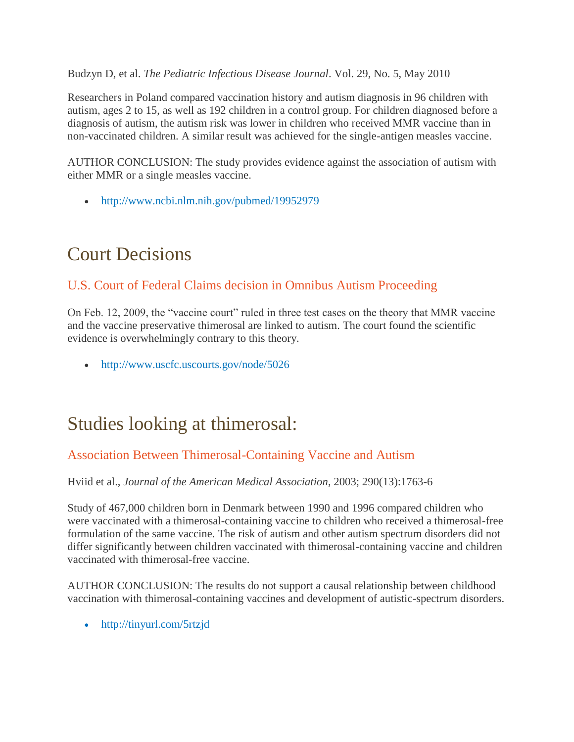Budzyn D, et al. *The Pediatric Infectious Disease Journal*. Vol. 29, No. 5, May 2010

Researchers in Poland compared vaccination history and autism diagnosis in 96 children with autism, ages 2 to 15, as well as 192 children in a control group. For children diagnosed before a diagnosis of autism, the autism risk was lower in children who received MMR vaccine than in non-vaccinated children. A similar result was achieved for the single-antigen measles vaccine.

AUTHOR CONCLUSION: The study provides evidence against the association of autism with either MMR or a single measles vaccine.

• <http://www.ncbi.nlm.nih.gov/pubmed/19952979>

## Court Decisions

## U.S. Court of Federal Claims decision in Omnibus Autism Proceeding

On Feb. 12, 2009, the "vaccine court" ruled in three test cases on the theory that MMR vaccine and the vaccine preservative thimerosal are linked to autism. The court found the scientific evidence is overwhelmingly contrary to this theory.

<http://www.uscfc.uscourts.gov/node/5026>

## Studies looking at thimerosal:

## Association Between Thimerosal-Containing Vaccine and Autism

Hviid et al., *Journal of the American Medical Association*, 2003; 290(13):1763-6

Study of 467,000 children born in Denmark between 1990 and 1996 compared children who were vaccinated with a thimerosal-containing vaccine to children who received a thimerosal-free formulation of the same vaccine. The risk of autism and other autism spectrum disorders did not differ significantly between children vaccinated with thimerosal-containing vaccine and children vaccinated with thimerosal-free vaccine.

AUTHOR CONCLUSION: The results do not support a causal relationship between childhood vaccination with thimerosal-containing vaccines and development of autistic-spectrum disorders.

• <http://tinyurl.com/5rtzjd>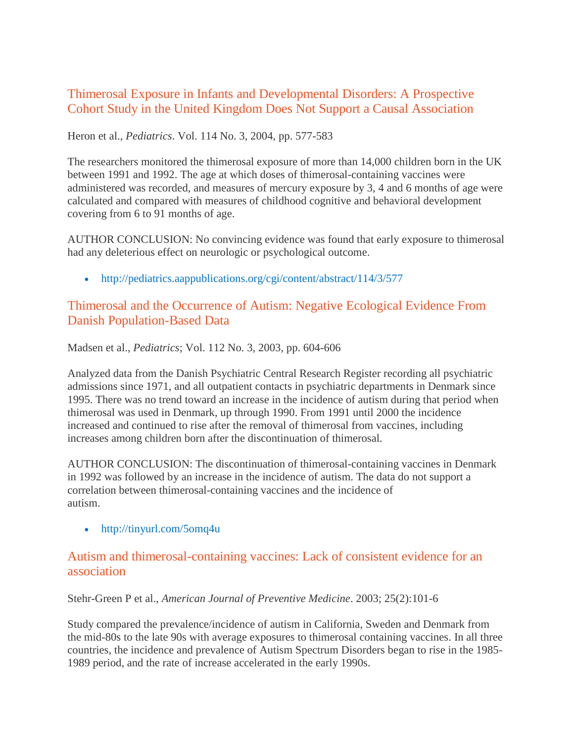#### Thimerosal Exposure in Infants and Developmental Disorders: A Prospective Cohort Study in the United Kingdom Does Not Support a Causal Association

Heron et al., *Pediatrics*. Vol. 114 No. 3, 2004, pp. 577-583

The researchers monitored the thimerosal exposure of more than 14,000 children born in the UK between 1991 and 1992. The age at which doses of thimerosal-containing vaccines were administered was recorded, and measures of mercury exposure by 3, 4 and 6 months of age were calculated and compared with measures of childhood cognitive and behavioral development covering from 6 to 91 months of age.

AUTHOR CONCLUSION: No convincing evidence was found that early exposure to thimerosal had any deleterious effect on neurologic or psychological outcome.

• <http://pediatrics.aappublications.org/cgi/content/abstract/114/3/577>

#### Thimerosal and the Occurrence of Autism: Negative Ecological Evidence From Danish Population-Based Data

Madsen et al., *Pediatrics*; Vol. 112 No. 3, 2003, pp. 604-606

Analyzed data from the Danish Psychiatric Central Research Register recording all psychiatric admissions since 1971, and all outpatient contacts in psychiatric departments in Denmark since 1995. There was no trend toward an increase in the incidence of autism during that period when thimerosal was used in Denmark, up through 1990. From 1991 until 2000 the incidence increased and continued to rise after the removal of thimerosal from vaccines, including increases among children born after the discontinuation of thimerosal.

AUTHOR CONCLUSION: The discontinuation of thimerosal-containing vaccines in Denmark in 1992 was followed by an increase in the incidence of autism. The data do not support a correlation between thimerosal-containing vaccines and the incidence of autism.

• <http://tinyurl.com/5omq4u>

#### Autism and thimerosal-containing vaccines: Lack of consistent evidence for an association

Stehr-Green P et al., *American Journal of Preventive Medicine*. 2003; 25(2):101-6

Study compared the prevalence/incidence of autism in California, Sweden and Denmark from the mid-80s to the late 90s with average exposures to thimerosal containing vaccines. In all three countries, the incidence and prevalence of Autism Spectrum Disorders began to rise in the 1985- 1989 period, and the rate of increase accelerated in the early 1990s.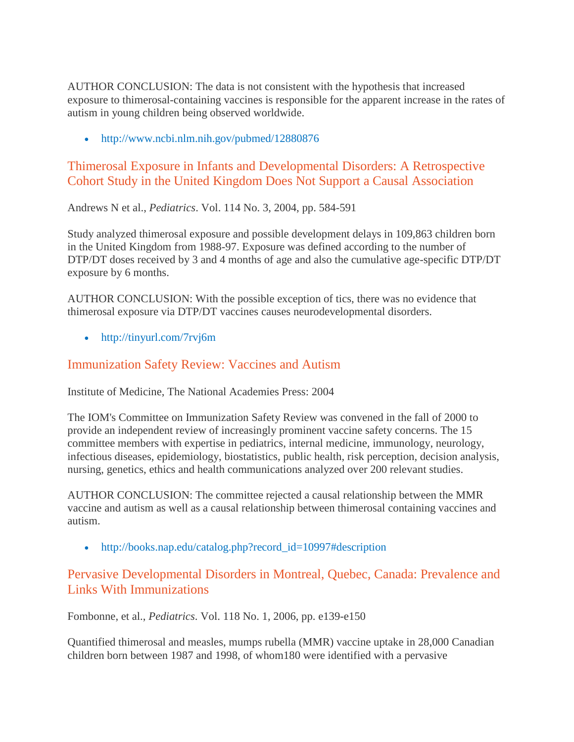AUTHOR CONCLUSION: The data is not consistent with the hypothesis that increased exposure to thimerosal-containing vaccines is responsible for the apparent increase in the rates of autism in young children being observed worldwide.

• <http://www.ncbi.nlm.nih.gov/pubmed/12880876>

#### Thimerosal Exposure in Infants and Developmental Disorders: A Retrospective Cohort Study in the United Kingdom Does Not Support a Causal Association

Andrews N et al., *Pediatrics*. Vol. 114 No. 3, 2004, pp. 584-591

Study analyzed thimerosal exposure and possible development delays in 109,863 children born in the United Kingdom from 1988-97. Exposure was defined according to the number of DTP/DT doses received by 3 and 4 months of age and also the cumulative age-specific DTP/DT exposure by 6 months.

AUTHOR CONCLUSION: With the possible exception of tics, there was no evidence that thimerosal exposure via DTP/DT vaccines causes neurodevelopmental disorders.

• <http://tinyurl.com/7rvj6m>

#### Immunization Safety Review: Vaccines and Autism

Institute of Medicine, The National Academies Press: 2004

The IOM's Committee on Immunization Safety Review was convened in the fall of 2000 to provide an independent review of increasingly prominent vaccine safety concerns. The 15 committee members with expertise in pediatrics, internal medicine, immunology, neurology, infectious diseases, epidemiology, biostatistics, public health, risk perception, decision analysis, nursing, genetics, ethics and health communications analyzed over 200 relevant studies.

AUTHOR CONCLUSION: The committee rejected a causal relationship between the MMR vaccine and autism as well as a causal relationship between thimerosal containing vaccines and autism.

[http://books.nap.edu/catalog.php?record\\_id=10997#description](http://books.nap.edu/catalog.php?record_id=10997#description)

#### Pervasive Developmental Disorders in Montreal, Quebec, Canada: Prevalence and Links With Immunizations

Fombonne, et al., *Pediatrics*. Vol. 118 No. 1, 2006, pp. e139-e150

Quantified thimerosal and measles, mumps rubella (MMR) vaccine uptake in 28,000 Canadian children born between 1987 and 1998, of whom180 were identified with a pervasive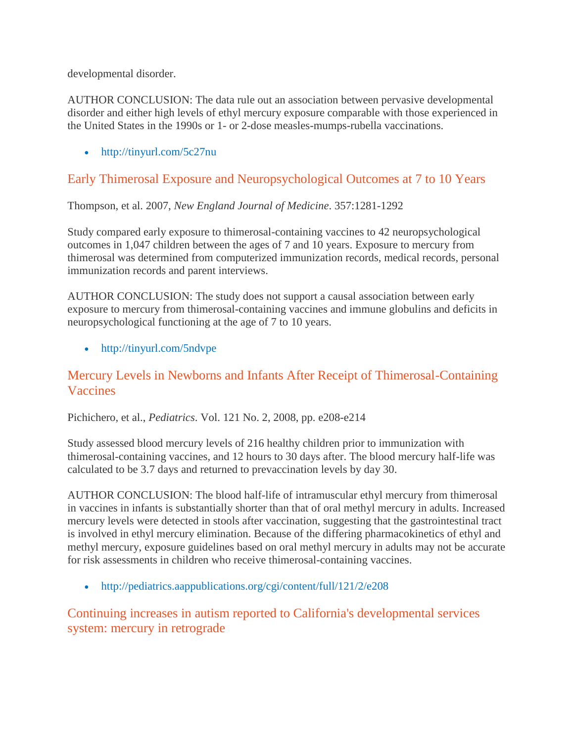developmental disorder.

AUTHOR CONCLUSION: The data rule out an association between pervasive developmental disorder and either high levels of ethyl mercury exposure comparable with those experienced in the United States in the 1990s or 1- or 2-dose measles-mumps-rubella vaccinations.

• <http://tinyurl.com/5c27nu>

## Early Thimerosal Exposure and Neuropsychological Outcomes at 7 to 10 Years

Thompson, et al. 2007, *New England Journal of Medicine*. 357:1281-1292

Study compared early exposure to thimerosal-containing vaccines to 42 neuropsychological outcomes in 1,047 children between the ages of 7 and 10 years. Exposure to mercury from thimerosal was determined from computerized immunization records, medical records, personal immunization records and parent interviews.

AUTHOR CONCLUSION: The study does not support a causal association between early exposure to mercury from thimerosal-containing vaccines and immune globulins and deficits in neuropsychological functioning at the age of 7 to 10 years.

• <http://tinyurl.com/5ndvpe>

#### Mercury Levels in Newborns and Infants After Receipt of Thimerosal-Containing Vaccines

Pichichero, et al., *Pediatrics*. Vol. 121 No. 2, 2008, pp. e208-e214

Study assessed blood mercury levels of 216 healthy children prior to immunization with thimerosal-containing vaccines, and 12 hours to 30 days after. The blood mercury half-life was calculated to be 3.7 days and returned to prevaccination levels by day 30.

AUTHOR CONCLUSION: The blood half-life of intramuscular ethyl mercury from thimerosal in vaccines in infants is substantially shorter than that of oral methyl mercury in adults. Increased mercury levels were detected in stools after vaccination, suggesting that the gastrointestinal tract is involved in ethyl mercury elimination. Because of the differing pharmacokinetics of ethyl and methyl mercury, exposure guidelines based on oral methyl mercury in adults may not be accurate for risk assessments in children who receive thimerosal-containing vaccines.

<http://pediatrics.aappublications.org/cgi/content/full/121/2/e208>

Continuing increases in autism reported to California's developmental services system: mercury in retrograde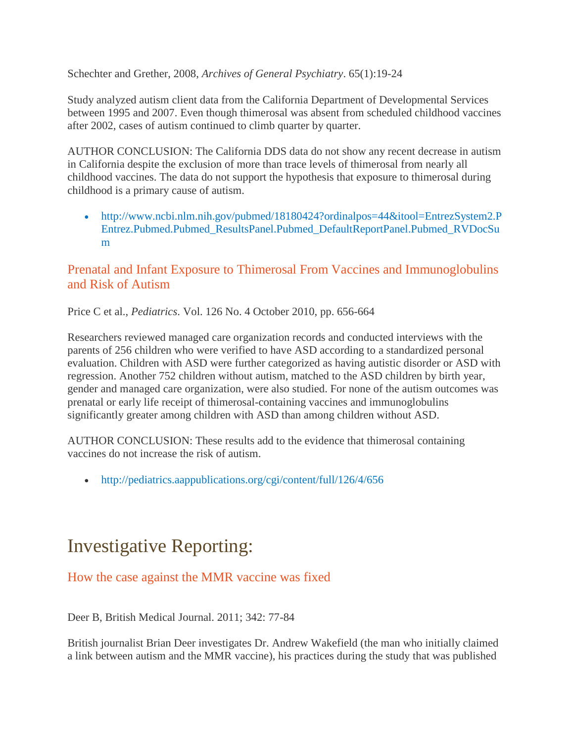Schechter and Grether, 2008, *Archives of General Psychiatry*. 65(1):19-24

Study analyzed autism client data from the California Department of Developmental Services between 1995 and 2007. Even though thimerosal was absent from scheduled childhood vaccines after 2002, cases of autism continued to climb quarter by quarter.

AUTHOR CONCLUSION: The California DDS data do not show any recent decrease in autism in California despite the exclusion of more than trace levels of thimerosal from nearly all childhood vaccines. The data do not support the hypothesis that exposure to thimerosal during childhood is a primary cause of autism.

• [http://www.ncbi.nlm.nih.gov/pubmed/18180424?ordinalpos=44&itool=EntrezSystem2.P](http://www.ncbi.nlm.nih.gov/pubmed/18180424?ordinalpos=44&itool=EntrezSystem2.PEntrez.Pubmed.Pubmed_ResultsPanel.Pubmed_DefaultReportPanel.Pubmed_RVDocSum) [Entrez.Pubmed.Pubmed\\_ResultsPanel.Pubmed\\_DefaultReportPanel.Pubmed\\_RVDocSu](http://www.ncbi.nlm.nih.gov/pubmed/18180424?ordinalpos=44&itool=EntrezSystem2.PEntrez.Pubmed.Pubmed_ResultsPanel.Pubmed_DefaultReportPanel.Pubmed_RVDocSum) [m](http://www.ncbi.nlm.nih.gov/pubmed/18180424?ordinalpos=44&itool=EntrezSystem2.PEntrez.Pubmed.Pubmed_ResultsPanel.Pubmed_DefaultReportPanel.Pubmed_RVDocSum)

#### Prenatal and Infant Exposure to Thimerosal From Vaccines and Immunoglobulins and Risk of Autism

Price C et al., *Pediatrics*. Vol. 126 No. 4 October 2010, pp. 656-664

Researchers reviewed managed care organization records and conducted interviews with the parents of 256 children who were verified to have ASD according to a standardized personal evaluation. Children with ASD were further categorized as having autistic disorder or ASD with regression. Another 752 children without autism, matched to the ASD children by birth year, gender and managed care organization, were also studied. For none of the autism outcomes was prenatal or early life receipt of thimerosal-containing vaccines and immunoglobulins significantly greater among children with ASD than among children without ASD.

AUTHOR CONCLUSION: These results add to the evidence that thimerosal containing vaccines do not increase the risk of autism.

<http://pediatrics.aappublications.org/cgi/content/full/126/4/656>

## Investigative Reporting:

#### How the case against the MMR vaccine was fixed

Deer B, British Medical Journal. 2011; 342: 77-84

British journalist Brian Deer investigates Dr. Andrew Wakefield (the man who initially claimed a link between autism and the MMR vaccine), his practices during the study that was published